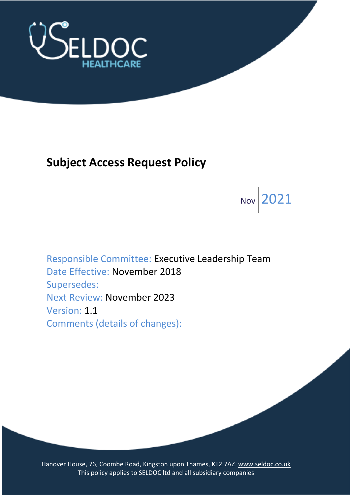

# **Subject Access Request Policy**

Nov 2021

Responsible Committee: Executive Leadership Team Date Effective: November 2018 Supersedes: Next Review: November 2023 Version: 1.1 Comments (details of changes):

Hanover House, 76, Coombe Road, Kingston upon Thames, KT2 7AZ [www.seldoc.co.uk](http://www.seldoc.co.uk/) This policy applies to SELDOC ltd and all subsidiary companies This policy applies to SELDOC ltd and all subsidiary companies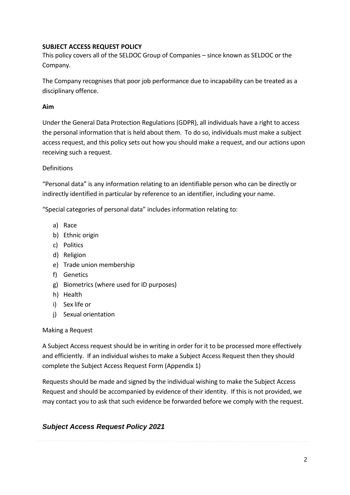# **SUBJECT ACCESS REQUEST POLICY**

This policy covers all of the SELDOC Group of Companies – since known as SELDOC or the Company.

The Company recognises that poor job performance due to incapability can be treated as a disciplinary offence.

# **Aim**

Under the General Data Protection Regulations (GDPR), all individuals have a right to access the personal information that is held about them. To do so, individuals must make a subject access request, and this policy sets out how you should make a request, and our actions upon receiving such a request.

# Definitions

"Personal data" is any information relating to an identifiable person who can be directly or indirectly identified in particular by reference to an identifier, including your name.

"Special categories of personal data" includes information relating to:

- a) Race
- b) Ethnic origin
- c) Politics
- d) Religion
- e) Trade union membership
- f) Genetics
- g) Biometrics (where used for ID purposes)
- h) Health
- i) Sex life or
- j) Sexual orientation

### Making a Request

A Subject Access request should be in writing in order for it to be processed more effectively and efficiently. If an individual wishes to make a Subject Access Request then they should complete the Subject Access Request Form (Appendix 1)

Requests should be made and signed by the individual wishing to make the Subject Access Request and should be accompanied by evidence of their identity. If this is not provided, we may contact you to ask that such evidence be forwarded before we comply with the request.

# *Subject Access Request Policy 2021*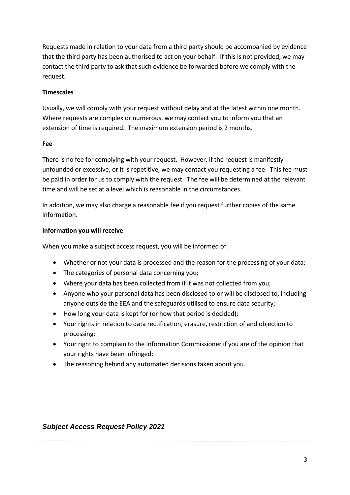Requests made in relation to your data from a third party should be accompanied by evidence that the third party has been authorised to act on your behalf. If this is not provided, we may contact the third party to ask that such evidence be forwarded before we comply with the request.

# **Timescales**

Usually, we will comply with your request without delay and at the latest within one month. Where requests are complex or numerous, we may contact you to inform you that an extension of time is required. The maximum extension period is 2 months.

### **Fee**

There is no fee for complying with your request. However, if the request is manifestly unfounded or excessive, or it is repetitive, we may contact you requesting a fee. This fee must be paid in order for us to comply with the request. The fee will be determined at the relevant time and will be set at a level which is reasonable in the circumstances.

In addition, we may also charge a reasonable fee if you request further copies of the same information.

### **Information you will receive**

When you make a subject access request, you will be informed of:

- Whether or not your data is processed and the reason for the processing of your data;
- The categories of personal data concerning you;
- Where your data has been collected from if it was not collected from you;
- Anyone who your personal data has been disclosed to or will be disclosed to, including anyone outside the EEA and the safeguards utilised to ensure data security;
- How long your data is kept for (or how that period is decided);
- Your rights in relation to data rectification, erasure, restriction of and objection to processing;
- Your right to complain to the Information Commissioner if you are of the opinion that your rights have been infringed;
- The reasoning behind any automated decisions taken about you.

# *Subject Access Request Policy 2021*